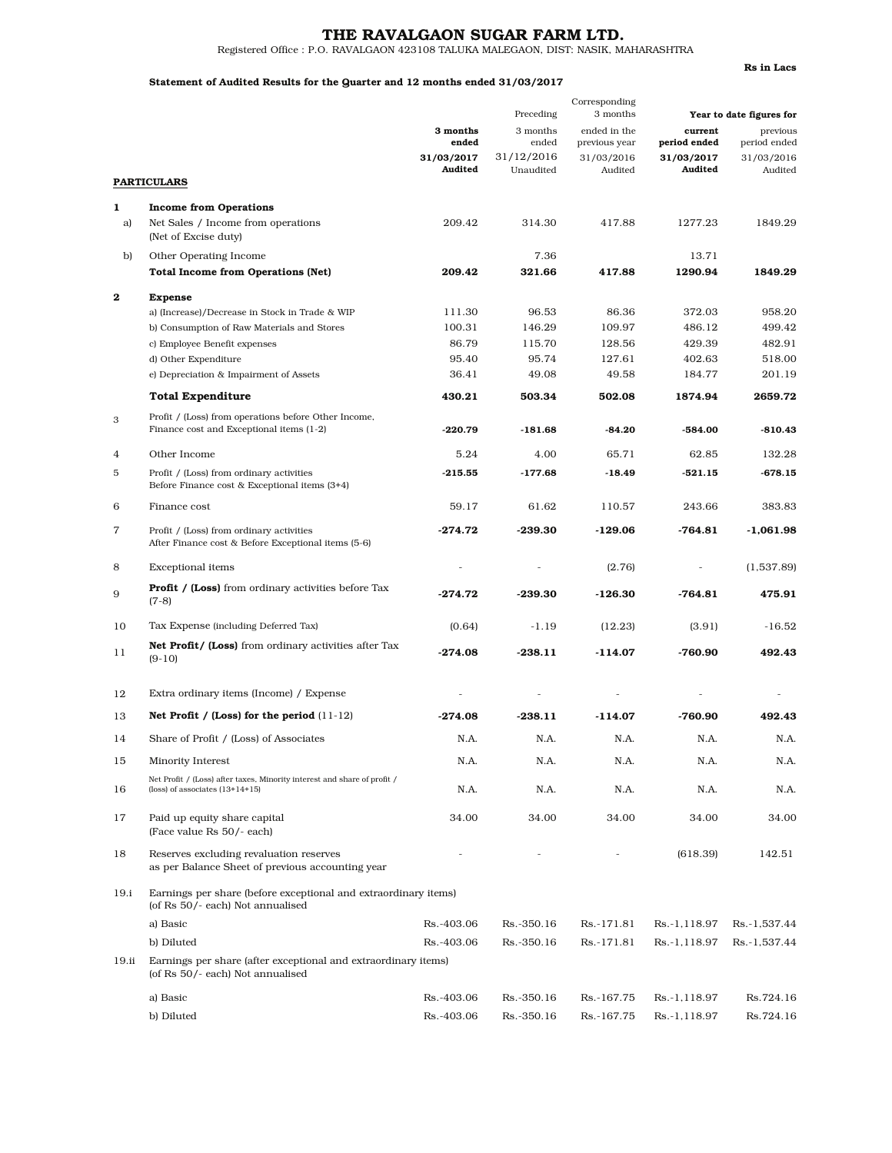# THE RAVALGAON SUGAR FARM LTD.

Registered Office : P.O. RAVALGAON 423108 TALUKA MALEGAON, DIST: NASIK, MAHARASHTRA

### Statement of Audited Results for the Quarter and 12 months ended 31/03/2017

Rs in Lacs

|          |                                                                                                               | Preceding             |                         | Corresponding<br>3 months     | Year to date figures for |                          |
|----------|---------------------------------------------------------------------------------------------------------------|-----------------------|-------------------------|-------------------------------|--------------------------|--------------------------|
|          |                                                                                                               | 3 months<br>ended     | 3 months<br>ended       | ended in the<br>previous year | current<br>period ended  | previous<br>period ended |
|          |                                                                                                               | 31/03/2017<br>Audited | 31/12/2016<br>Unaudited | 31/03/2016<br>Audited         | 31/03/2017<br>Audited    | 31/03/2016<br>Audited    |
|          | <b>PARTICULARS</b>                                                                                            |                       |                         |                               |                          |                          |
| 1        | <b>Income from Operations</b>                                                                                 |                       |                         |                               |                          |                          |
| a)       | Net Sales / Income from operations<br>(Net of Excise duty)                                                    | 209.42                | 314.30                  | 417.88                        | 1277.23                  | 1849.29                  |
| b)       | Other Operating Income                                                                                        |                       | 7.36                    |                               | 13.71                    |                          |
|          | <b>Total Income from Operations (Net)</b>                                                                     | 209.42                | 321.66                  | 417.88                        | 1290.94                  | 1849.29                  |
| $\bf{2}$ | <b>Expense</b>                                                                                                |                       |                         |                               |                          |                          |
|          | a) (Increase)/Decrease in Stock in Trade & WIP                                                                | 111.30                | 96.53                   | 86.36                         | 372.03                   | 958.20                   |
|          | b) Consumption of Raw Materials and Stores                                                                    | 100.31                | 146.29                  | 109.97                        | 486.12                   | 499.42                   |
|          | c) Employee Benefit expenses                                                                                  | 86.79                 | 115.70                  | 128.56                        | 429.39                   | 482.91                   |
|          | d) Other Expenditure                                                                                          | 95.40<br>36.41        | 95.74<br>49.08          | 127.61<br>49.58               | 402.63<br>184.77         | 518.00<br>201.19         |
|          | e) Depreciation & Impairment of Assets                                                                        |                       |                         |                               |                          |                          |
|          | <b>Total Expenditure</b>                                                                                      | 430.21                | 503.34                  | 502.08                        | 1874.94                  | 2659.72                  |
| 3        | Profit / (Loss) from operations before Other Income,<br>Finance cost and Exceptional items (1-2)              | $-220.79$             | $-181.68$               | $-84.20$                      | $-584.00$                | $-810.43$                |
| 4        | Other Income                                                                                                  | 5.24                  | 4.00                    | 65.71                         | 62.85                    | 132.28                   |
| 5        | Profit / (Loss) from ordinary activities<br>Before Finance cost & Exceptional items (3+4)                     | $-215.55$             | $-177.68$               | $-18.49$                      | -521.15                  | $-678.15$                |
| 6        | Finance cost                                                                                                  | 59.17                 | 61.62                   | 110.57                        | 243.66                   | 383.83                   |
| 7        | Profit / (Loss) from ordinary activities<br>After Finance cost & Before Exceptional items (5-6)               | $-274.72$             | $-239.30$               | $-129.06$                     | $-764.81$                | $-1,061.98$              |
| 8        | <b>Exceptional</b> items                                                                                      |                       |                         | (2.76)                        |                          | (1,537.89)               |
| 9        | <b>Profit / (Loss)</b> from ordinary activities before Tax<br>$(7-8)$                                         | $-274.72$             | $-239.30$               | $-126.30$                     | -764.81                  | 475.91                   |
| 10       | Tax Expense (including Deferred Tax)                                                                          | (0.64)                | $-1.19$                 | (12.23)                       | (3.91)                   | $-16.52$                 |
| 11       | <b>Net Profit/ (Loss)</b> from ordinary activities after Tax<br>$(9-10)$                                      | $-274.08$             | $-238.11$               | $-114.07$                     | $-760.90$                | 492.43                   |
| 12       | Extra ordinary items (Income) / Expense                                                                       |                       |                         |                               |                          |                          |
| 13       | Net Profit / (Loss) for the period $(11-12)$                                                                  | $-274.08$             | $-238.11$               | $-114.07$                     | $-760.90$                | 492.43                   |
| 14       | Share of Profit / (Loss) of Associates                                                                        | N.A.                  | N.A.                    | N.A.                          | N.A.                     | N.A.                     |
| 15       | Minority Interest                                                                                             | N.A.                  | N.A.                    | N.A.                          | N.A.                     | N.A.                     |
| 16       | Net Profit / (Loss) after taxes, Minority interest and share of profit /<br>(loss) of associates $(13+14+15)$ | N.A.                  | N.A.                    | N.A.                          | N.A.                     | N.A.                     |
| 17       | Paid up equity share capital<br>(Face value Rs 50/- each)                                                     | 34.00                 | 34.00                   | 34.00                         | 34.00                    | 34.00                    |
| 18       | Reserves excluding revaluation reserves<br>as per Balance Sheet of previous accounting year                   |                       |                         |                               | (618.39)                 | 142.51                   |
| 19.i     | Earnings per share (before exceptional and extraordinary items)<br>(of Rs 50/- each) Not annualised           |                       |                         |                               |                          |                          |
|          | a) Basic                                                                                                      | Rs.-403.06            | Rs. - 350.16            | Rs.-171.81                    | Rs.-1,118.97             | Rs.-1,537.44             |
|          | b) Diluted                                                                                                    | Rs.-403.06            | Rs. - 350.16            | Rs.-171.81                    | Rs.-1,118.97             | Rs.-1,537.44             |
| 19.ii    | Earnings per share (after exceptional and extraordinary items)<br>(of Rs 50/- each) Not annualised            |                       |                         |                               |                          |                          |
|          | a) Basic                                                                                                      | Rs.-403.06            | Rs. - 350.16            | Rs.-167.75                    | Rs.-1,118.97             | Rs.724.16                |
|          | b) Diluted                                                                                                    | Rs.-403.06            | Rs.-350.16              | Rs.-167.75                    | Rs.-1,118.97             | Rs.724.16                |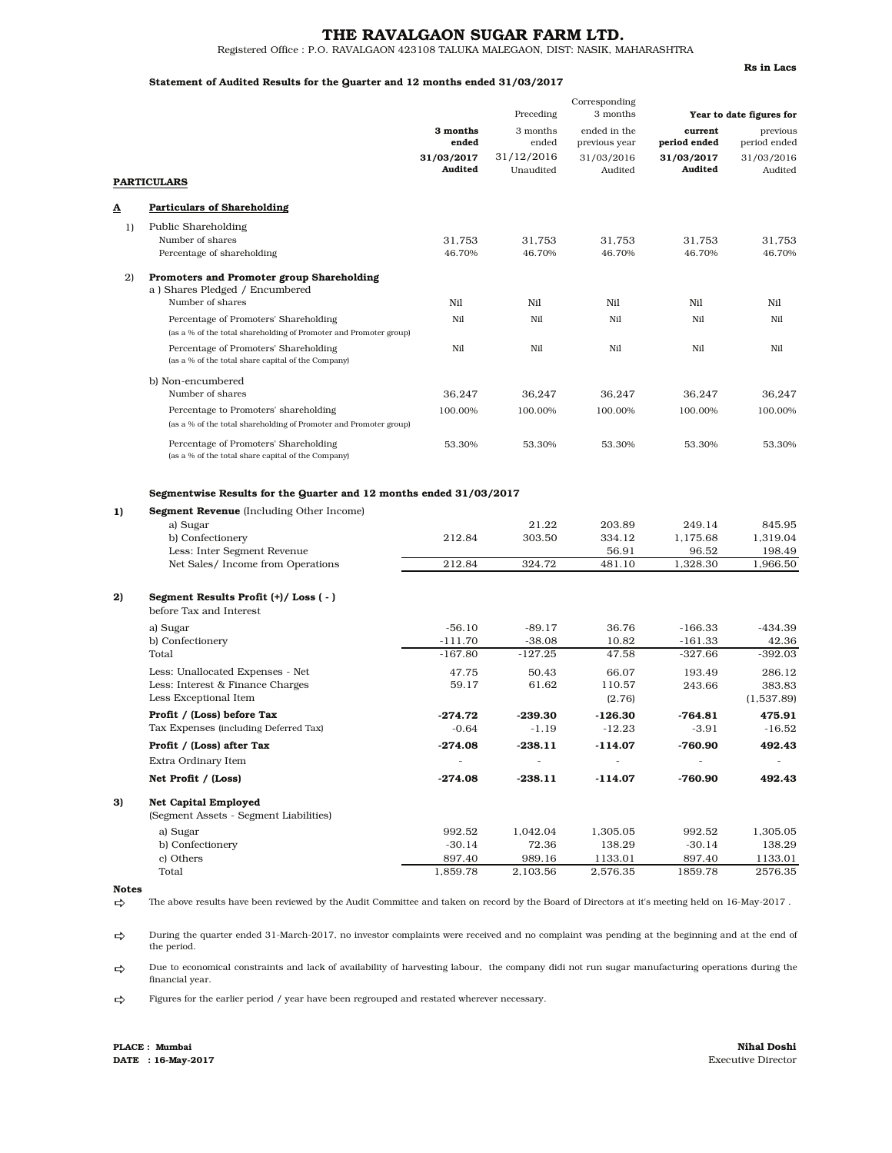### THE RAVALGAON SUGAR FARM LTD.

Registered Office : P.O. RAVALGAON 423108 TALUKA MALEGAON, DIST: NASIK, MAHARASHTRA

#### Statement of Audited Results for the Quarter and 12 months ended 31/03/2017

Rs in Lacs

|    |                                                                                                                                                                                                                           | Preceding                             |                             | Corresponding<br>3 months           | Year to date figures for                |                                          |
|----|---------------------------------------------------------------------------------------------------------------------------------------------------------------------------------------------------------------------------|---------------------------------------|-----------------------------|-------------------------------------|-----------------------------------------|------------------------------------------|
|    |                                                                                                                                                                                                                           | 3 months<br>ended                     | 3 months<br>ended           | ended in the<br>previous year       | current<br>period ended                 | previous<br>period ended                 |
|    |                                                                                                                                                                                                                           | 31/03/2017                            | 31/12/2016                  | 31/03/2016                          | 31/03/2017                              | 31/03/2016                               |
|    | <b>PARTICULARS</b>                                                                                                                                                                                                        | Audited                               | Unaudited                   | Audited                             | Audited                                 | Audited                                  |
|    |                                                                                                                                                                                                                           |                                       |                             |                                     |                                         |                                          |
| ◬  | <b>Particulars of Shareholding</b>                                                                                                                                                                                        |                                       |                             |                                     |                                         |                                          |
| 1) | Public Shareholding<br>Number of shares<br>Percentage of shareholding                                                                                                                                                     | 31,753<br>46.70%                      | 31,753<br>46.70%            | 31,753<br>46.70%                    | 31,753<br>46.70%                        | 31,753<br>46.70%                         |
|    |                                                                                                                                                                                                                           |                                       |                             |                                     |                                         |                                          |
| 2) | Promoters and Promoter group Shareholding<br>a) Shares Pledged / Encumbered                                                                                                                                               |                                       |                             |                                     |                                         |                                          |
|    | Number of shares                                                                                                                                                                                                          | Nil                                   | Nil                         | Nil                                 | Nil                                     | Nil                                      |
|    | Percentage of Promoters' Shareholding                                                                                                                                                                                     | Nil                                   | Nil                         | Nil                                 | Nil                                     | Nil                                      |
|    | (as a % of the total shareholding of Promoter and Promoter group)                                                                                                                                                         |                                       |                             |                                     |                                         |                                          |
|    | Percentage of Promoters' Shareholding<br>(as a % of the total share capital of the Company)                                                                                                                               | Nil                                   | Nil                         | Nil                                 | Nil                                     | Nil                                      |
|    | b) Non-encumbered                                                                                                                                                                                                         |                                       |                             |                                     |                                         |                                          |
|    | Number of shares                                                                                                                                                                                                          | 36,247                                | 36,247                      | 36,247                              | 36,247                                  | 36,247                                   |
|    | Percentage to Promoters' shareholding<br>(as a % of the total shareholding of Promoter and Promoter group)                                                                                                                | 100.00%                               | 100.00%                     | 100.00%                             | 100.00%                                 | 100.00%                                  |
|    | Percentage of Promoters' Shareholding<br>(as a % of the total share capital of the Company)                                                                                                                               | 53.30%                                | 53.30%                      | 53.30%                              | 53.30%                                  | 53.30%                                   |
| 1) | Segmentwise Results for the Quarter and 12 months ended 31/03/2017<br><b>Segment Revenue</b> (Including Other Income)<br>a) Sugar<br>b) Confectionery<br>Less: Inter Segment Revenue<br>Net Sales/ Income from Operations | 212.84<br>212.84                      | 21.22<br>303.50<br>324.72   | 203.89<br>334.12<br>56.91<br>481.10 | 249.14<br>1,175.68<br>96.52<br>1,328.30 | 845.95<br>1,319.04<br>198.49<br>1,966.50 |
| 2) | Segment Results Profit (+)/Loss (-)<br>before Tax and Interest                                                                                                                                                            |                                       |                             |                                     |                                         |                                          |
|    | a) Sugar                                                                                                                                                                                                                  | $-56.10$                              | $-89.17$                    | 36.76                               | $-166.33$                               | $-434.39$                                |
|    | b) Confectionery                                                                                                                                                                                                          | $-111.70$                             | $-38.08$                    | 10.82                               | $-161.33$                               | 42.36                                    |
|    | Total                                                                                                                                                                                                                     | $-167.80$                             | $-127.25$                   | 47.58                               | $-327.66$                               | $-392.03$                                |
|    | Less: Unallocated Expenses - Net                                                                                                                                                                                          | 47.75                                 | 50.43                       | 66.07                               | 193.49                                  | 286.12                                   |
|    | Less: Interest & Finance Charges                                                                                                                                                                                          | 59.17                                 | 61.62                       | 110.57                              | 243.66                                  | 383.83                                   |
|    | Less Exceptional Item                                                                                                                                                                                                     |                                       |                             | (2.76)                              |                                         | (1,537.89)                               |
|    | Profit / (Loss) before Tax                                                                                                                                                                                                | $-274.72$                             | -239.30                     | $-126.30$                           | -764.81                                 | 475.91                                   |
|    | Tax Expenses (including Deferred Tax)                                                                                                                                                                                     | $-0.64$                               | $-1.19$                     | $-12.23$                            | $-3.91$                                 | $-16.52$                                 |
|    | Profit / (Loss) after Tax                                                                                                                                                                                                 | -274.08                               | -238.11                     | -114.07                             | -760.90                                 | 492.43                                   |
|    | Extra Ordinary Item<br>Net Profit / (Loss)                                                                                                                                                                                | $\overline{\phantom{a}}$<br>$-274.08$ | $\overline{a}$<br>$-238.11$ | -114.07                             | -760.90                                 | 492.43                                   |
| 3) |                                                                                                                                                                                                                           |                                       |                             |                                     |                                         |                                          |
|    | <b>Net Capital Employed</b><br>(Segment Assets - Segment Liabilities)                                                                                                                                                     |                                       |                             |                                     |                                         |                                          |
|    | a) Sugar                                                                                                                                                                                                                  | 992.52                                | 1,042.04                    | 1,305.05                            | 992.52                                  | 1,305.05                                 |
|    | b) Confectionery                                                                                                                                                                                                          | $-30.14$                              | 72.36                       | 138.29                              | $-30.14$                                | 138.29                                   |
|    | c) Others                                                                                                                                                                                                                 | 897.40                                | 989.16                      | 1133.01                             | 897.40                                  | 1133.01                                  |
|    | Total                                                                                                                                                                                                                     | 1,859.78                              | 2,103.56                    | 2,576.35                            | 1859.78                                 | 2576.35                                  |

#### Notes

 $\Rightarrow$ The above results have been reviewed by the Audit Committee and taken on record by the Board of Directors at it's meeting held on 16-May-2017 .

 $\Rightarrow$ During the quarter ended 31-March-2017, no investor complaints were received and no complaint was pending at the beginning and at the end of the period.

 $\Rightarrow$ Due to economical constraints and lack of availability of harvesting labour, the company didi not run sugar manufacturing operations during the financial year.

 $\Rightarrow$ Figures for the earlier period / year have been regrouped and restated wherever necessary.